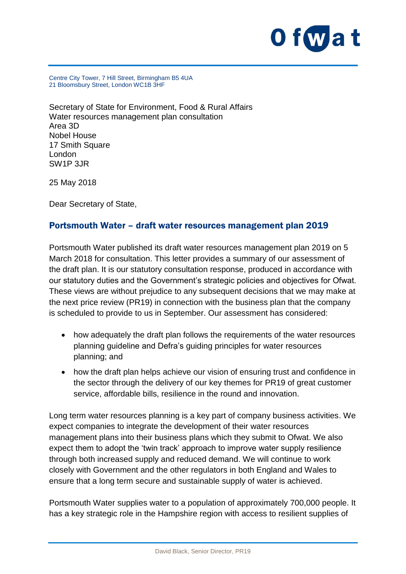

Centre City Tower, 7 Hill Street, Birmingham B5 4UA 21 Bloomsbury Street, London WC1B 3HF

Secretary of State for Environment, Food & Rural Affairs Water resources management plan consultation Area 3D Nobel House 17 Smith Square London SW1P 3JR

25 May 2018

Dear Secretary of State,

#### Portsmouth Water – draft water resources management plan 2019

Portsmouth Water published its draft water resources management plan 2019 on 5 March 2018 for consultation. This letter provides a summary of our assessment of the draft plan. It is our statutory consultation response, produced in accordance with our statutory duties and the Government's strategic policies and objectives for Ofwat. These views are without prejudice to any subsequent decisions that we may make at the next price review (PR19) in connection with the business plan that the company is scheduled to provide to us in September. Our assessment has considered:

- how adequately the draft plan follows the requirements of the water resources planning guideline and Defra's guiding principles for water resources planning; and
- how the draft plan helps achieve our vision of ensuring trust and confidence in the sector through the delivery of our key themes for PR19 of great customer service, affordable bills, resilience in the round and innovation.

Long term water resources planning is a key part of company business activities. We expect companies to integrate the development of their water resources management plans into their business plans which they submit to Ofwat. We also expect them to adopt the 'twin track' approach to improve water supply resilience through both increased supply and reduced demand. We will continue to work closely with Government and the other regulators in both England and Wales to ensure that a long term secure and sustainable supply of water is achieved.

Portsmouth Water supplies water to a population of approximately 700,000 people. It has a key strategic role in the Hampshire region with access to resilient supplies of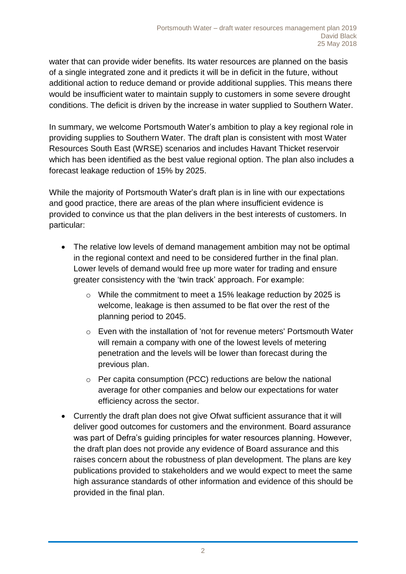water that can provide wider benefits. Its water resources are planned on the basis of a single integrated zone and it predicts it will be in deficit in the future, without additional action to reduce demand or provide additional supplies. This means there would be insufficient water to maintain supply to customers in some severe drought conditions. The deficit is driven by the increase in water supplied to Southern Water.

In summary, we welcome Portsmouth Water's ambition to play a key regional role in providing supplies to Southern Water. The draft plan is consistent with most Water Resources South East (WRSE) scenarios and includes Havant Thicket reservoir which has been identified as the best value regional option. The plan also includes a forecast leakage reduction of 15% by 2025.

While the majority of Portsmouth Water's draft plan is in line with our expectations and good practice, there are areas of the plan where insufficient evidence is provided to convince us that the plan delivers in the best interests of customers. In particular:

- The relative low levels of demand management ambition may not be optimal in the regional context and need to be considered further in the final plan. Lower levels of demand would free up more water for trading and ensure greater consistency with the 'twin track' approach. For example:
	- o While the commitment to meet a 15% leakage reduction by 2025 is welcome, leakage is then assumed to be flat over the rest of the planning period to 2045.
	- o Even with the installation of 'not for revenue meters' Portsmouth Water will remain a company with one of the lowest levels of metering penetration and the levels will be lower than forecast during the previous plan.
	- $\circ$  Per capita consumption (PCC) reductions are below the national average for other companies and below our expectations for water efficiency across the sector.
- Currently the draft plan does not give Ofwat sufficient assurance that it will deliver good outcomes for customers and the environment. Board assurance was part of Defra's guiding principles for water resources planning. However, the draft plan does not provide any evidence of Board assurance and this raises concern about the robustness of plan development. The plans are key publications provided to stakeholders and we would expect to meet the same high assurance standards of other information and evidence of this should be provided in the final plan.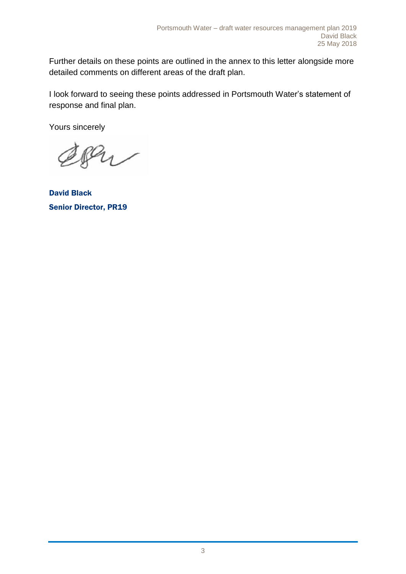Further details on these points are outlined in the annex to this letter alongside more detailed comments on different areas of the draft plan.

I look forward to seeing these points addressed in Portsmouth Water's statement of response and final plan.

Yours sincerely

Pu

David Black Senior Director, PR19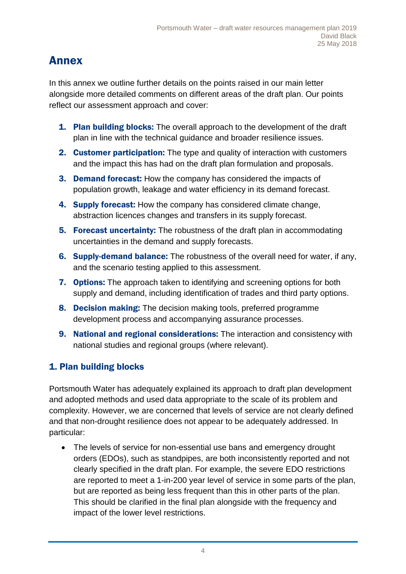# Annex

In this annex we outline further details on the points raised in our main letter alongside more detailed comments on different areas of the draft plan. Our points reflect our assessment approach and cover:

- **1. Plan building blocks:** The overall approach to the development of the draft plan in line with the technical guidance and broader resilience issues.
- 2. Customer participation: The type and quality of interaction with customers and the impact this has had on the draft plan formulation and proposals.
- 3. Demand forecast: How the company has considered the impacts of population growth, leakage and water efficiency in its demand forecast.
- 4. Supply forecast: How the company has considered climate change, abstraction licences changes and transfers in its supply forecast.
- **5. Forecast uncertainty:** The robustness of the draft plan in accommodating uncertainties in the demand and supply forecasts.
- 6. Supply-demand balance: The robustness of the overall need for water, if any, and the scenario testing applied to this assessment.
- **7. Options:** The approach taken to identifying and screening options for both supply and demand, including identification of trades and third party options.
- 8. Decision making: The decision making tools, preferred programme development process and accompanying assurance processes.
- 9. National and regional considerations: The interaction and consistency with national studies and regional groups (where relevant).

### 1. Plan building blocks

Portsmouth Water has adequately explained its approach to draft plan development and adopted methods and used data appropriate to the scale of its problem and complexity. However, we are concerned that levels of service are not clearly defined and that non-drought resilience does not appear to be adequately addressed. In particular:

 The levels of service for non-essential use bans and emergency drought orders (EDOs), such as standpipes, are both inconsistently reported and not clearly specified in the draft plan. For example, the severe EDO restrictions are reported to meet a 1-in-200 year level of service in some parts of the plan, but are reported as being less frequent than this in other parts of the plan. This should be clarified in the final plan alongside with the frequency and impact of the lower level restrictions.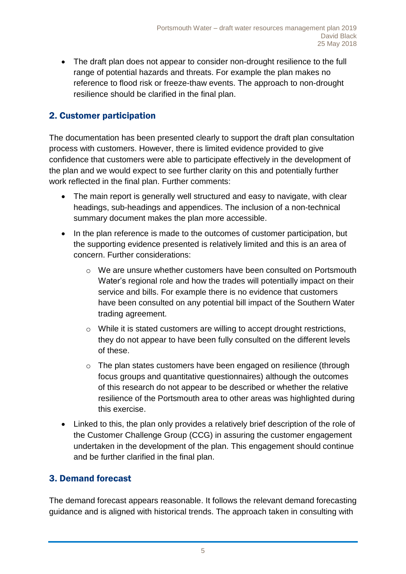• The draft plan does not appear to consider non-drought resilience to the full range of potential hazards and threats. For example the plan makes no reference to flood risk or freeze-thaw events. The approach to non-drought resilience should be clarified in the final plan.

#### 2. Customer participation

The documentation has been presented clearly to support the draft plan consultation process with customers. However, there is limited evidence provided to give confidence that customers were able to participate effectively in the development of the plan and we would expect to see further clarity on this and potentially further work reflected in the final plan. Further comments:

- The main report is generally well structured and easy to navigate, with clear headings, sub-headings and appendices. The inclusion of a non-technical summary document makes the plan more accessible.
- In the plan reference is made to the outcomes of customer participation, but the supporting evidence presented is relatively limited and this is an area of concern. Further considerations:
	- o We are unsure whether customers have been consulted on Portsmouth Water's regional role and how the trades will potentially impact on their service and bills. For example there is no evidence that customers have been consulted on any potential bill impact of the Southern Water trading agreement.
	- $\circ$  While it is stated customers are willing to accept drought restrictions, they do not appear to have been fully consulted on the different levels of these.
	- o The plan states customers have been engaged on resilience (through focus groups and quantitative questionnaires) although the outcomes of this research do not appear to be described or whether the relative resilience of the Portsmouth area to other areas was highlighted during this exercise.
- Linked to this, the plan only provides a relatively brief description of the role of the Customer Challenge Group (CCG) in assuring the customer engagement undertaken in the development of the plan. This engagement should continue and be further clarified in the final plan.

#### 3. Demand forecast

The demand forecast appears reasonable. It follows the relevant demand forecasting guidance and is aligned with historical trends. The approach taken in consulting with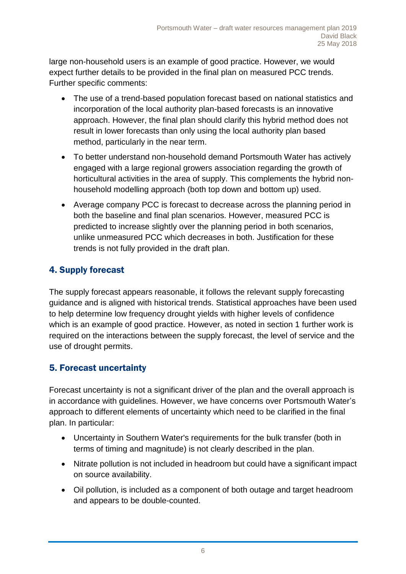large non-household users is an example of good practice. However, we would expect further details to be provided in the final plan on measured PCC trends. Further specific comments:

- The use of a trend-based population forecast based on national statistics and incorporation of the local authority plan-based forecasts is an innovative approach. However, the final plan should clarify this hybrid method does not result in lower forecasts than only using the local authority plan based method, particularly in the near term.
- To better understand non-household demand Portsmouth Water has actively engaged with a large regional growers association regarding the growth of horticultural activities in the area of supply. This complements the hybrid nonhousehold modelling approach (both top down and bottom up) used.
- Average company PCC is forecast to decrease across the planning period in both the baseline and final plan scenarios. However, measured PCC is predicted to increase slightly over the planning period in both scenarios, unlike unmeasured PCC which decreases in both. Justification for these trends is not fully provided in the draft plan.

## 4. Supply forecast

The supply forecast appears reasonable, it follows the relevant supply forecasting guidance and is aligned with historical trends. Statistical approaches have been used to help determine low frequency drought yields with higher levels of confidence which is an example of good practice. However, as noted in section 1 further work is required on the interactions between the supply forecast, the level of service and the use of drought permits.

### 5. Forecast uncertainty

Forecast uncertainty is not a significant driver of the plan and the overall approach is in accordance with guidelines. However, we have concerns over Portsmouth Water's approach to different elements of uncertainty which need to be clarified in the final plan. In particular:

- Uncertainty in Southern Water's requirements for the bulk transfer (both in terms of timing and magnitude) is not clearly described in the plan.
- Nitrate pollution is not included in headroom but could have a significant impact on source availability.
- Oil pollution, is included as a component of both outage and target headroom and appears to be double-counted.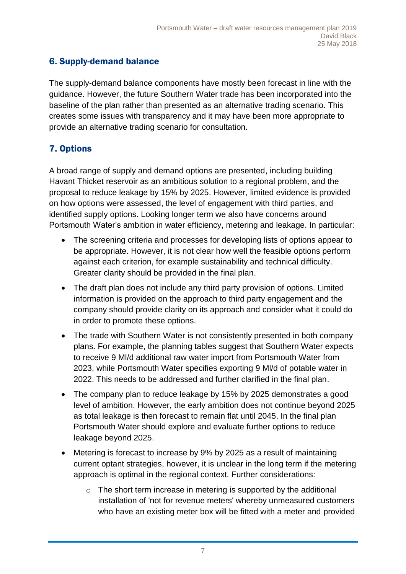### 6. Supply-demand balance

The supply-demand balance components have mostly been forecast in line with the guidance. However, the future Southern Water trade has been incorporated into the baseline of the plan rather than presented as an alternative trading scenario. This creates some issues with transparency and it may have been more appropriate to provide an alternative trading scenario for consultation.

#### 7. Options

A broad range of supply and demand options are presented, including building Havant Thicket reservoir as an ambitious solution to a regional problem, and the proposal to reduce leakage by 15% by 2025. However, limited evidence is provided on how options were assessed, the level of engagement with third parties, and identified supply options. Looking longer term we also have concerns around Portsmouth Water's ambition in water efficiency, metering and leakage. In particular:

- The screening criteria and processes for developing lists of options appear to be appropriate. However, it is not clear how well the feasible options perform against each criterion, for example sustainability and technical difficulty. Greater clarity should be provided in the final plan.
- The draft plan does not include any third party provision of options. Limited information is provided on the approach to third party engagement and the company should provide clarity on its approach and consider what it could do in order to promote these options.
- The trade with Southern Water is not consistently presented in both company plans. For example, the planning tables suggest that Southern Water expects to receive 9 Ml/d additional raw water import from Portsmouth Water from 2023, while Portsmouth Water specifies exporting 9 Ml/d of potable water in 2022. This needs to be addressed and further clarified in the final plan.
- The company plan to reduce leakage by 15% by 2025 demonstrates a good level of ambition. However, the early ambition does not continue beyond 2025 as total leakage is then forecast to remain flat until 2045. In the final plan Portsmouth Water should explore and evaluate further options to reduce leakage beyond 2025.
- Metering is forecast to increase by 9% by 2025 as a result of maintaining current optant strategies, however, it is unclear in the long term if the metering approach is optimal in the regional context. Further considerations:
	- $\circ$  The short term increase in metering is supported by the additional installation of 'not for revenue meters' whereby unmeasured customers who have an existing meter box will be fitted with a meter and provided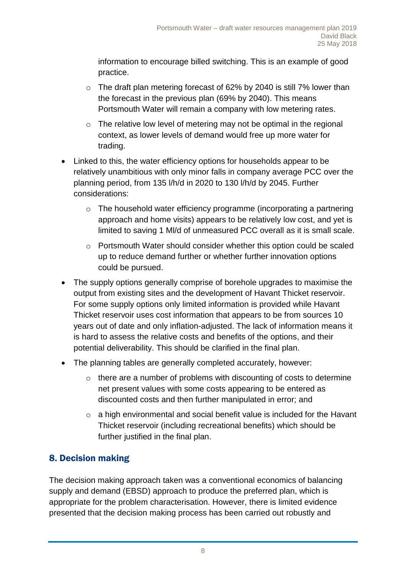information to encourage billed switching. This is an example of good practice.

- o The draft plan metering forecast of 62% by 2040 is still 7% lower than the forecast in the previous plan (69% by 2040). This means Portsmouth Water will remain a company with low metering rates.
- $\circ$  The relative low level of metering may not be optimal in the regional context, as lower levels of demand would free up more water for trading.
- Linked to this, the water efficiency options for households appear to be relatively unambitious with only minor falls in company average PCC over the planning period, from 135 l/h/d in 2020 to 130 l/h/d by 2045. Further considerations:
	- o The household water efficiency programme (incorporating a partnering approach and home visits) appears to be relatively low cost, and yet is limited to saving 1 Ml/d of unmeasured PCC overall as it is small scale.
	- o Portsmouth Water should consider whether this option could be scaled up to reduce demand further or whether further innovation options could be pursued.
- The supply options generally comprise of borehole upgrades to maximise the output from existing sites and the development of Havant Thicket reservoir. For some supply options only limited information is provided while Havant Thicket reservoir uses cost information that appears to be from sources 10 years out of date and only inflation-adjusted. The lack of information means it is hard to assess the relative costs and benefits of the options, and their potential deliverability. This should be clarified in the final plan.
- The planning tables are generally completed accurately, however:
	- $\circ$  there are a number of problems with discounting of costs to determine net present values with some costs appearing to be entered as discounted costs and then further manipulated in error; and
	- o a high environmental and social benefit value is included for the Havant Thicket reservoir (including recreational benefits) which should be further justified in the final plan.

### 8. Decision making

The decision making approach taken was a conventional economics of balancing supply and demand (EBSD) approach to produce the preferred plan, which is appropriate for the problem characterisation. However, there is limited evidence presented that the decision making process has been carried out robustly and